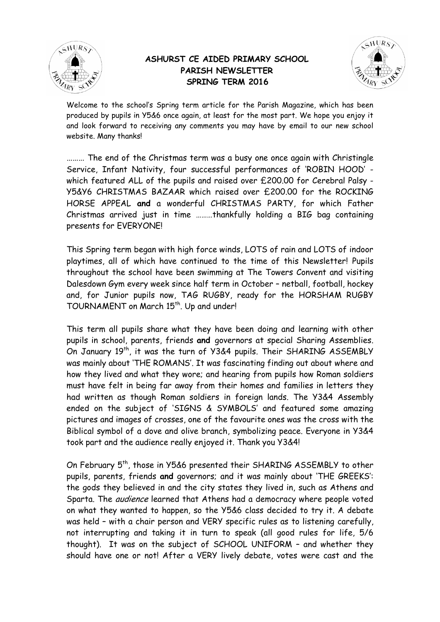

## **ASHURST CE AIDED PRIMARY SCHOOL PARISH NEWSLETTER SPRING TERM 2016**



Welcome to the school's Spring term article for the Parish Magazine, which has been produced by pupils in Y5&6 once again, at least for the most part. We hope you enjoy it and look forward to receiving any comments you may have by email to our new school website. Many thanks!

……… The end of the Christmas term was a busy one once again with Christingle Service, Infant Nativity, four successful performances of 'ROBIN HOOD' which featured ALL of the pupils and raised over £200.00 for Cerebral Palsy - Y5&Y6 CHRISTMAS BAZAAR which raised over £200.00 for the ROCKING HORSE APPEAL **and** a wonderful CHRISTMAS PARTY, for which Father Christmas arrived just in time ………thankfully holding a BIG bag containing presents for EVERYONE!

This Spring term began with high force winds, LOTS of rain and LOTS of indoor playtimes, all of which have continued to the time of this Newsletter! Pupils throughout the school have been swimming at The Towers Convent and visiting Dalesdown Gym every week since half term in October – netball, football, hockey and, for Junior pupils now, TAG RUGBY, ready for the HORSHAM RUGBY TOURNAMENT on March 15<sup>th</sup>. Up and under!

This term all pupils share what they have been doing and learning with other pupils in school, parents, friends **and** governors at special Sharing Assemblies. On January 19<sup>th</sup>, it was the turn of Y3&4 pupils. Their SHARING ASSEMBLY was mainly about 'THE ROMANS'. It was fascinating finding out about where and how they lived and what they wore; and hearing from pupils how Roman soldiers must have felt in being far away from their homes and families in letters they had written as though Roman soldiers in foreign lands. The Y3&4 Assembly ended on the subject of 'SIGNS & SYMBOLS' and featured some amazing pictures and images of crosses, one of the favourite ones was the cross with the Biblical symbol of a dove and olive branch, symbolizing peace. Everyone in Y3&4 took part and the audience really enjoyed it. Thank you Y3&4!

On February 5<sup>th</sup>, those in Y5&6 presented their SHARING ASSEMBLY to other pupils, parents, friends **and** governors; and it was mainly about 'THE GREEKS': the gods they believed in and the city states they lived in, such as Athens and Sparta. The audience learned that Athens had a democracy where people voted on what they wanted to happen, so the Y5&6 class decided to try it. A debate was held – with a chair person and VERY specific rules as to listening carefully, not interrupting and taking it in turn to speak (all good rules for life, 5/6 thought). It was on the subject of SCHOOL UNIFORM – and whether they should have one or not! After a VERY lively debate, votes were cast and the